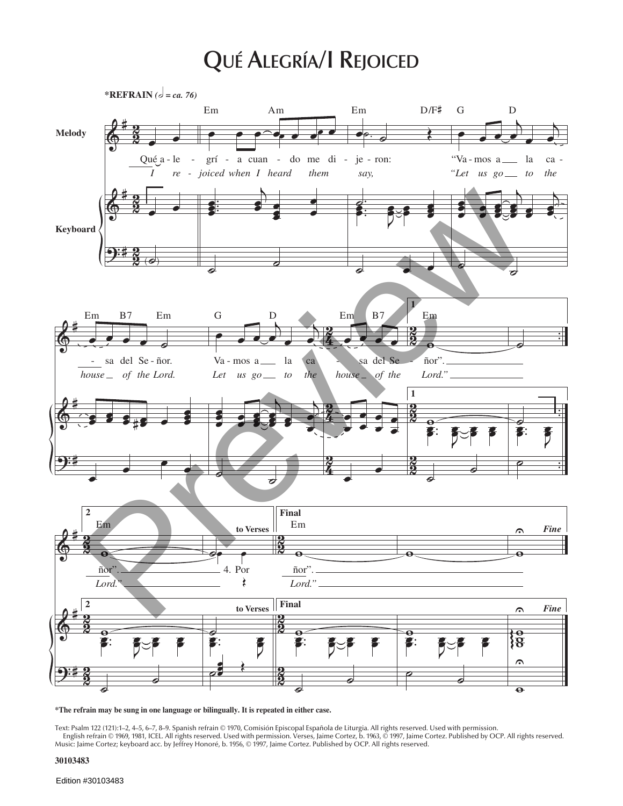## **QUÉ ALEGRÍA/I REJOICED**



**\*The refrain may be sung in one language or bilingually. It is repeated in either case.**

Text: Psalm 122 (121):1–2, 4–5, 6–7, 8–9. Spanish refrain © 1970, Comisión Episcopal Española de Liturgia. All rights reserved. Used with permission. English refrain © 1969, 1981, ICEL. All rights reserved. Used with permission. Verses, Jaime Cortez, b. 1963, © 1997, Jaime Cortez. Published by OCP. All rights reserved. Music: Jaime Cortez; keyboard acc. by Jeffrey Honoré, b. 1956, © 1997, Jaime Cortez. Published by OCP. All rights reserved.

**30103483**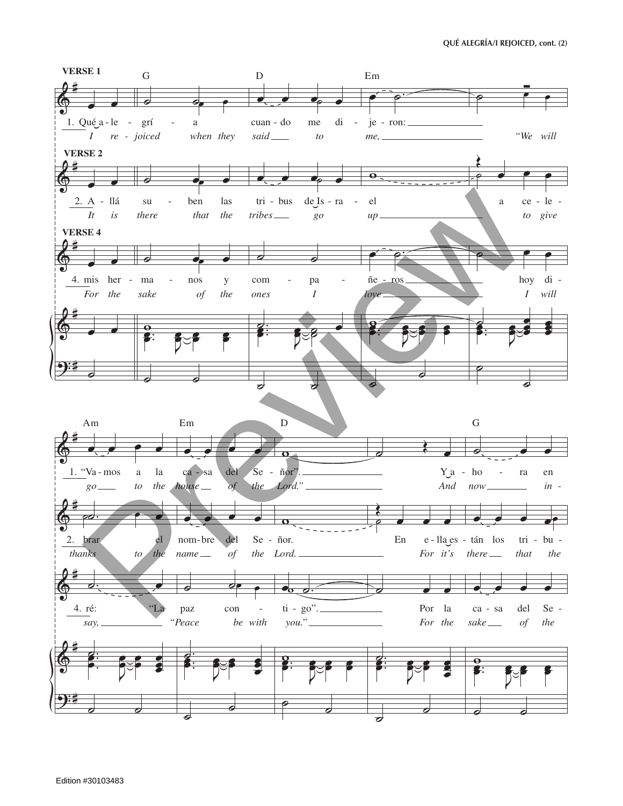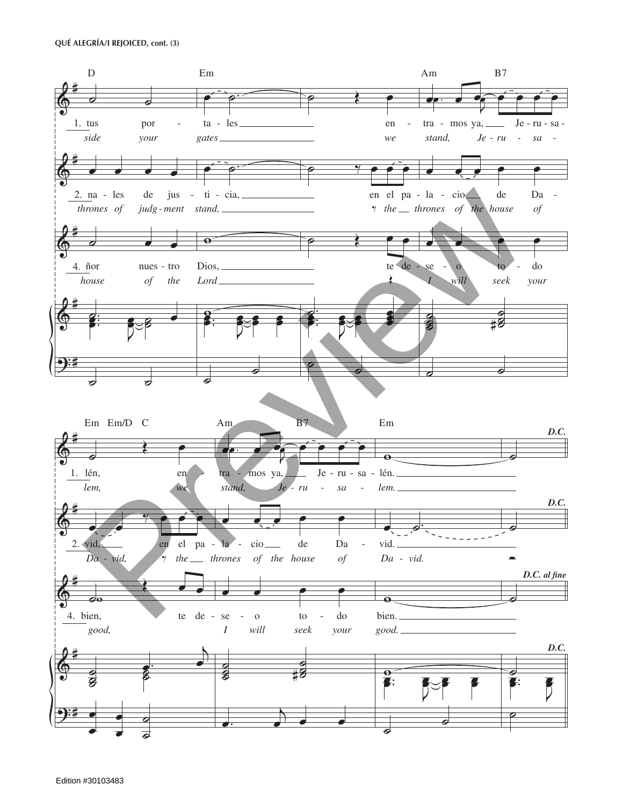